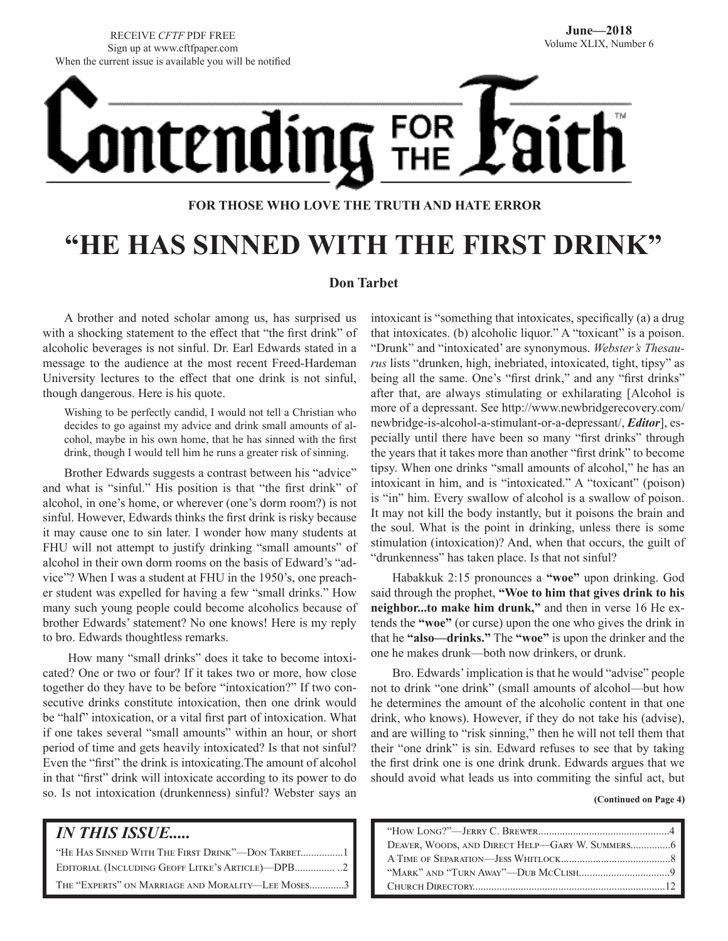RECEIVE *CFTF* PDF FREE Sign up at www.cftfpaper.com When the current issue is available you will be notified



### **FOR THOSE WHO LOVE THE TRUTH AND HATE ERROR**

# **"HE HAS SINNED WITH THE FIRST DRINK"**

### **Don Tarbet**

A brother and noted scholar among us, has surprised us with a shocking statement to the effect that "the first drink" of alcoholic beverages is not sinful. Dr. Earl Edwards stated in a message to the audience at the most recent Freed-Hardeman University lectures to the effect that one drink is not sinful, though dangerous. Here is his quote.

Wishing to be perfectly candid, I would not tell a Christian who decides to go against my advice and drink small amounts of alcohol, maybe in his own home, that he has sinned with the first drink, though I would tell him he runs a greater risk of sinning.

Brother Edwards suggests a contrast between his "advice" and what is "sinful." His position is that "the first drink" of alcohol, in one's home, or wherever (one's dorm room?) is not sinful. However, Edwards thinks the first drink is risky because it may cause one to sin later. I wonder how many students at FHU will not attempt to justify drinking "small amounts" of alcohol in their own dorm rooms on the basis of Edward's "advice"? When I was a student at FHU in the 1950's, one preacher student was expelled for having a few "small drinks." How many such young people could become alcoholics because of brother Edwards' statement? No one knows! Here is my reply to bro. Edwards thoughtless remarks.

 How many "small drinks" does it take to become intoxicated? One or two or four? If it takes two or more, how close together do they have to be before "intoxication?" If two consecutive drinks constitute intoxication, then one drink would be "half" intoxication, or a vital first part of intoxication. What if one takes several "small amounts" within an hour, or short period of time and gets heavily intoxicated? Is that not sinful? Even the "first" the drink is intoxicating.The amount of alcohol in that "first" drink will intoxicate according to its power to do so. Is not intoxication (drunkenness) sinful? Webster says an

| <b>IN THIS ISSUE</b>                              |
|---------------------------------------------------|
|                                                   |
| EDITORIAL (INCLUDING GEOFF LITKE'S ARTICLE)—DPB2  |
| THE "EXPERTS" ON MARRIAGE AND MORALITY-LEE MOSES3 |

intoxicant is "something that intoxicates, specifically (a) a drug that intoxicates. (b) alcoholic liquor." A "toxicant" is a poison. "Drunk" and "intoxicated' are synonymous. *Webster's Thesaurus* lists "drunken, high, inebriated, intoxicated, tight, tipsy" as being all the same. One's "first drink," and any "first drinks" after that, are always stimulating or exhilarating [Alcohol is more of a depressant. See http://www.newbridgerecovery.com/ newbridge-is-alcohol-a-stimulant-or-a-depressant/, *Editor*], especially until there have been so many "first drinks" through the years that it takes more than another "first drink" to become tipsy. When one drinks "small amounts of alcohol," he has an intoxicant in him, and is "intoxicated." A "toxicant" (poison) is "in" him. Every swallow of alcohol is a swallow of poison. It may not kill the body instantly, but it poisons the brain and the soul. What is the point in drinking, unless there is some stimulation (intoxication)? And, when that occurs, the guilt of "drunkenness" has taken place. Is that not sinful?

Habakkuk 2:15 pronounces a **"woe"** upon drinking. God said through the prophet, **"Woe to him that gives drink to his neighbor...to make him drunk,"** and then in verse 16 He extends the **"woe"** (or curse) upon the one who gives the drink in that he **"also—drinks."** The **"woe"** is upon the drinker and the one he makes drunk—both now drinkers, or drunk.

Bro. Edwards' implication is that he would "advise" people not to drink "one drink" (small amounts of alcohol—but how he determines the amount of the alcoholic content in that one drink, who knows). However, if they do not take his (advise), and are willing to "risk sinning," then he will not tell them that their "one drink" is sin. Edward refuses to see that by taking the first drink one is one drink drunk. Edwards argues that we should avoid what leads us into commiting the sinful act, but

**(Continued on Page 4)**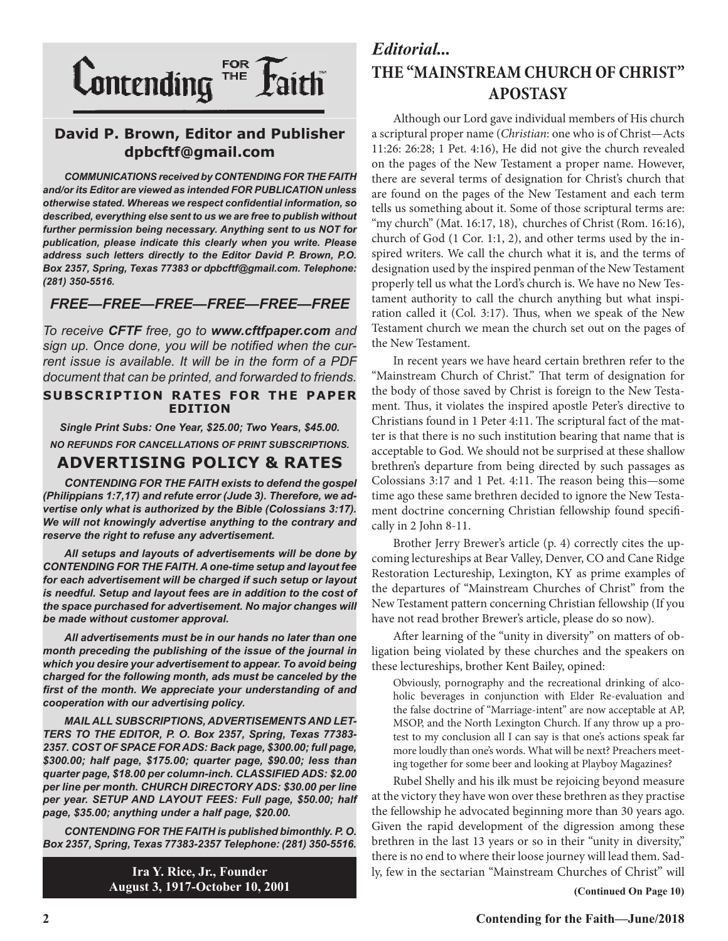

### **David P. Brown, Editor and Publisher dpbcftf@gmail.com**

*COMMUNICATIONS received by CONTENDING FOR THE FAITH and/or its Editor are viewed as intended FOR PUBLICATION unless otherwise stated. Whereas we respect confidential information, so described, everything else sent to us we are free to publish without further permission being necessary. Anything sent to us NOT for publication, please indicate this clearly when you write. Please address such letters directly to the Editor David P. Brown, P.O. Box 2357, Spring, Texas 77383 or dpbcftf@gmail.com. Telephone: (281) 350-5516.*

### *FREE—FREE—FREE—FREE—FREE—FREE*

*To receive CFTF free, go to www.cftfpaper.com and sign up. Once done, you will be notified when the current issue is available. It will be in the form of a PDF document that can be printed, and forwarded to friends.*

### **SUBSCRIPTION RATES FOR THE PAPER EDITION**

*Single Print Subs: One Year, \$25.00; Two Years, \$45.00. NO REFUNDS FOR CANCELLATIONS OF PRINT SUBSCRIPTIONS.*

### **ADVERTISING POLICY & RATES**

*CONTENDING FOR THE FAITH exists to defend the gospel (Philippians 1:7,17) and refute error (Jude 3). Therefore, we advertise only what is authorized by the Bible (Colossians 3:17). We will not knowingly advertise anything to the contrary and reserve the right to refuse any advertisement.*

*All setups and layouts of advertisements will be done by CONTENDING FOR THE FAITH. A one-time setup and layout fee for each advertisement will be charged if such setup or layout is needful. Setup and layout fees are in addition to the cost of the space purchased for advertisement. No major changes will be made without customer approval.*

*All advertisements must be in our hands no later than one month preceding the publishing of the issue of the journal in which you desire your advertisement to appear. To avoid being charged for the following month, ads must be canceled by the first of the month. We appreciate your understanding of and cooperation with our advertising policy.*

*MAIL ALL SUBSCRIPTIONS, ADVERTISEMENTS AND LET-TERS TO THE EDITOR, P. O. Box 2357, Spring, Texas 77383- 2357. COST OF SPACE FOR ADS: Back page, \$300.00; full page, \$300.00; half page, \$175.00; quarter page, \$90.00; less than quarter page, \$18.00 per column-inch. CLASSIFIED ADS: \$2.00 per line per month. CHURCH DIRECTORY ADS: \$30.00 per line per year. SETUP AND LAYOUT FEES: Full page, \$50.00; half page, \$35.00; anything under a half page, \$20.00.*

*CONTENDING FOR THE FAITH is published bimonthly. P. O. Box 2357, Spring, Texas 77383-2357 Telephone: (281) 350-5516.*

> **Ira Y. Rice, Jr., Founder August 3, 1917-October 10, 2001**

### *Editorial...* **THE "MAINSTREAM CHURCH OF CHRIST" APOSTASY**

Although our Lord gave individual members of His church a scriptural proper name (*Christian*: one who is of Christ—Acts 11:26: 26:28; 1 Pet. 4:16), He did not give the church revealed on the pages of the New Testament a proper name. However, there are several terms of designation for Christ's church that are found on the pages of the New Testament and each term tells us something about it. Some of those scriptural terms are: "my church" (Mat. 16:17, 18), churches of Christ (Rom. 16:16), church of God (1 Cor. 1:1, 2), and other terms used by the inspired writers. We call the church what it is, and the terms of designation used by the inspired penman of the New Testament properly tell us what the Lord's church is. We have no New Testament authority to call the church anything but what inspiration called it (Col. 3:17). Thus, when we speak of the New Testament church we mean the church set out on the pages of the New Testament.

In recent years we have heard certain brethren refer to the "Mainstream Church of Christ." That term of designation for the body of those saved by Christ is foreign to the New Testament. Thus, it violates the inspired apostle Peter's directive to Christians found in 1 Peter 4:11. The scriptural fact of the matter is that there is no such institution bearing that name that is acceptable to God. We should not be surprised at these shallow brethren's departure from being directed by such passages as Colossians 3:17 and 1 Pet. 4:11. The reason being this—some time ago these same brethren decided to ignore the New Testament doctrine concerning Christian fellowship found specifically in 2 John 8-11.

Brother Jerry Brewer's article (p. 4) correctly cites the upcoming lectureships at Bear Valley, Denver, CO and Cane Ridge Restoration Lectureship, Lexington, KY as prime examples of the departures of "Mainstream Churches of Christ" from the New Testament pattern concerning Christian fellowship (If you have not read brother Brewer's article, please do so now).

After learning of the "unity in diversity" on matters of obligation being violated by these churches and the speakers on these lectureships, brother Kent Bailey, opined:

Obviously, pornography and the recreational drinking of alcoholic beverages in conjunction with Elder Re-evaluation and the false doctrine of "Marriage-intent" are now acceptable at AP, MSOP, and the North Lexington Church. If any throw up a protest to my conclusion all I can say is that one's actions speak far more loudly than one's words. What will be next? Preachers meeting together for some beer and looking at Playboy Magazines?

Rubel Shelly and his ilk must be rejoicing beyond measure at the victory they have won over these brethren as they practise the fellowship he advocated beginning more than 30 years ago. Given the rapid development of the digression among these brethren in the last 13 years or so in their "unity in diversity," there is no end to where their loose journey will lead them. Sadly, few in the sectarian "Mainstream Churches of Christ" will

**(Continued On Page 10)**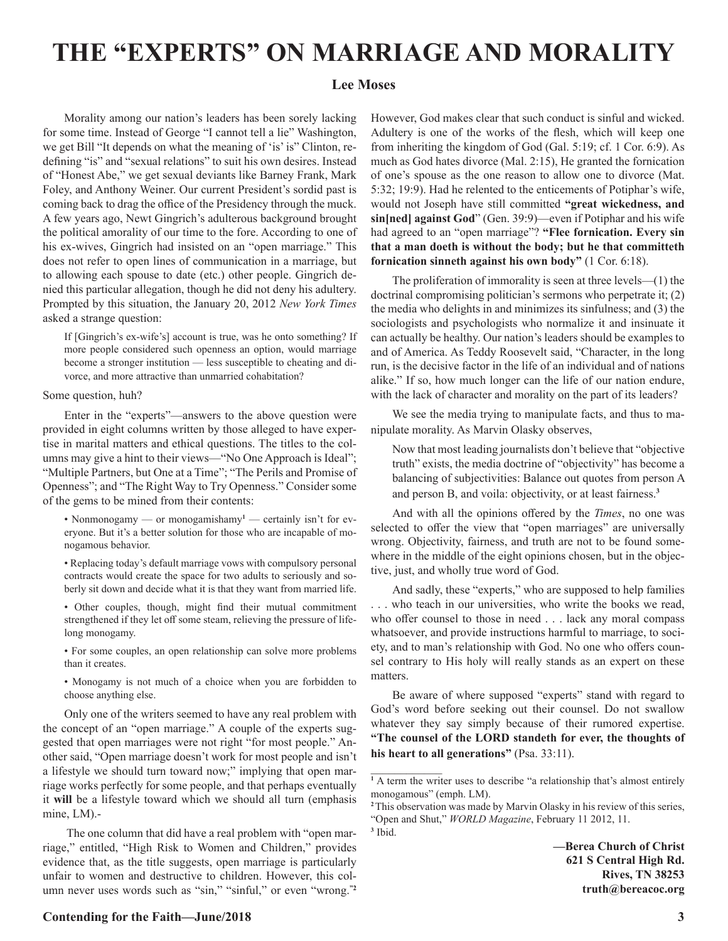### **THE "EXPERTS" ON MARRIAGE AND MORALITY**

### **Lee Moses**

Morality among our nation's leaders has been sorely lacking for some time. Instead of George "I cannot tell a lie" Washington, we get Bill "It depends on what the meaning of 'is' is" Clinton, redefining "is" and "sexual relations" to suit his own desires. Instead of "Honest Abe," we get sexual deviants like Barney Frank, Mark Foley, and Anthony Weiner. Our current President's sordid past is coming back to drag the office of the Presidency through the muck. A few years ago, Newt Gingrich's adulterous background brought the political amorality of our time to the fore. According to one of his ex-wives, Gingrich had insisted on an "open marriage." This does not refer to open lines of communication in a marriage, but to allowing each spouse to date (etc.) other people. Gingrich denied this particular allegation, though he did not deny his adultery. Prompted by this situation, the January 20, 2012 *New York Times* asked a strange question:

If [Gingrich's ex-wife's] account is true, was he onto something? If more people considered such openness an option, would marriage become a stronger institution — less susceptible to cheating and divorce, and more attractive than unmarried cohabitation?

#### Some question, huh?

Enter in the "experts"—answers to the above question were provided in eight columns written by those alleged to have expertise in marital matters and ethical questions. The titles to the columns may give a hint to their views—"No One Approach is Ideal"; "Multiple Partners, but One at a Time"; "The Perils and Promise of Openness"; and "The Right Way to Try Openness." Consider some of the gems to be mined from their contents:

- Nonmonogamy or monogamishamy<sup>1</sup> certainly isn't for everyone. But it's a better solution for those who are incapable of monogamous behavior.
- Replacing today's default marriage vows with compulsory personal contracts would create the space for two adults to seriously and soberly sit down and decide what it is that they want from married life.
- Other couples, though, might find their mutual commitment strengthened if they let off some steam, relieving the pressure of lifelong monogamy.
- For some couples, an open relationship can solve more problems than it creates.
- Monogamy is not much of a choice when you are forbidden to choose anything else.

Only one of the writers seemed to have any real problem with the concept of an "open marriage." A couple of the experts suggested that open marriages were not right "for most people." Another said, "Open marriage doesn't work for most people and isn't a lifestyle we should turn toward now;" implying that open marriage works perfectly for some people, and that perhaps eventually it **will** be a lifestyle toward which we should all turn (emphasis mine, LM).-

 The one column that did have a real problem with "open marriage," entitled, "High Risk to Women and Children," provides evidence that, as the title suggests, open marriage is particularly unfair to women and destructive to children. However, this column never uses words such as "sin," "sinful," or even "wrong.**"2**

However, God makes clear that such conduct is sinful and wicked. Adultery is one of the works of the flesh, which will keep one from inheriting the kingdom of God (Gal. 5:19; cf. 1 Cor. 6:9). As much as God hates divorce (Mal. 2:15), He granted the fornication of one's spouse as the one reason to allow one to divorce (Mat. 5:32; 19:9). Had he relented to the enticements of Potiphar's wife, would not Joseph have still committed **"great wickedness, and sin[ned] against God**" (Gen. 39:9)—even if Potiphar and his wife had agreed to an "open marriage"? **"Flee fornication. Every sin that a man doeth is without the body; but he that committeth fornication sinneth against his own body"** (1 Cor. 6:18).

The proliferation of immorality is seen at three levels—(1) the doctrinal compromising politician's sermons who perpetrate it; (2) the media who delights in and minimizes its sinfulness; and (3) the sociologists and psychologists who normalize it and insinuate it can actually be healthy. Our nation's leaders should be examples to and of America. As Teddy Roosevelt said, "Character, in the long run, is the decisive factor in the life of an individual and of nations alike." If so, how much longer can the life of our nation endure, with the lack of character and morality on the part of its leaders?

We see the media trying to manipulate facts, and thus to manipulate morality. As Marvin Olasky observes,

Now that most leading journalists don't believe that "objective truth" exists, the media doctrine of "objectivity" has become a balancing of subjectivities: Balance out quotes from person A and person B, and voila: objectivity, or at least fairness.**<sup>3</sup>**

And with all the opinions offered by the *Times*, no one was selected to offer the view that "open marriages" are universally wrong. Objectivity, fairness, and truth are not to be found somewhere in the middle of the eight opinions chosen, but in the objective, just, and wholly true word of God.

And sadly, these "experts," who are supposed to help families . . . who teach in our universities, who write the books we read, who offer counsel to those in need . . . lack any moral compass whatsoever, and provide instructions harmful to marriage, to society, and to man's relationship with God. No one who offers counsel contrary to His holy will really stands as an expert on these matters.

Be aware of where supposed "experts" stand with regard to God's word before seeking out their counsel. Do not swallow whatever they say simply because of their rumored expertise. **"The counsel of the LORD standeth for ever, the thoughts of his heart to all generations"** (Psa. 33:11).

 $\mathcal{L}_\text{max}$ 

**—Berea Church of Christ 621 S Central High Rd. Rives, TN 38253 truth@bereacoc.org**

### **Contending for the Faith—June/2018 3**

<sup>&</sup>lt;sup>1</sup> A term the writer uses to describe "a relationship that's almost entirely monogamous" (emph. LM).

**<sup>2</sup>**This observation was made by Marvin Olasky in his review of this series, "Open and Shut," *WORLD Magazine*, February 11 2012, 11. **3** Ibid.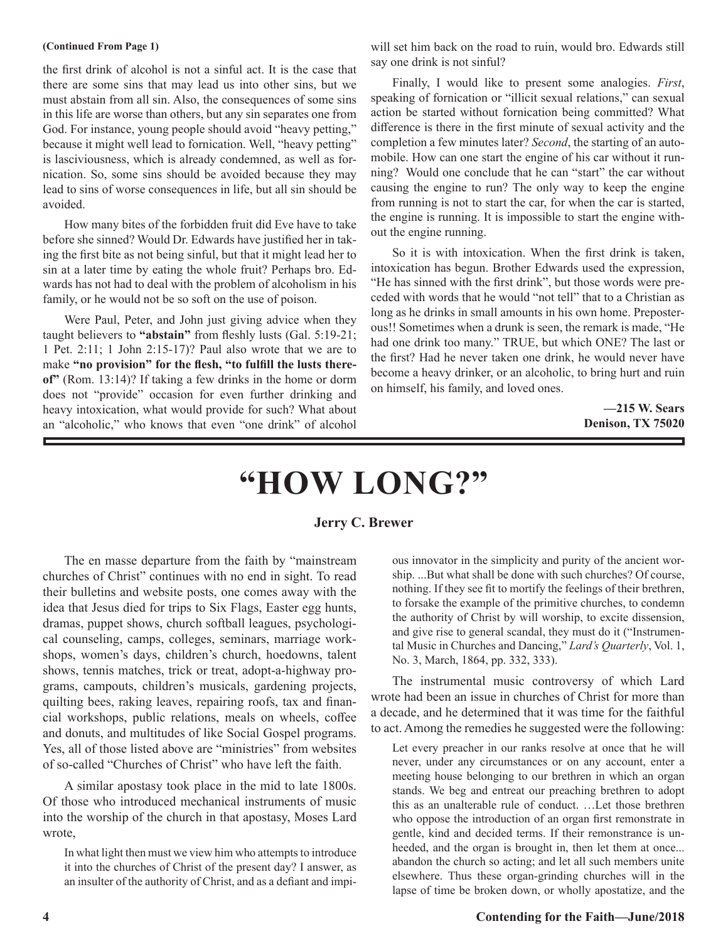#### **(Continued From Page 1)**

the first drink of alcohol is not a sinful act. It is the case that there are some sins that may lead us into other sins, but we must abstain from all sin. Also, the consequences of some sins in this life are worse than others, but any sin separates one from God. For instance, young people should avoid "heavy petting," because it might well lead to fornication. Well, "heavy petting" is lasciviousness, which is already condemned, as well as fornication. So, some sins should be avoided because they may lead to sins of worse consequences in life, but all sin should be avoided.

How many bites of the forbidden fruit did Eve have to take before she sinned? Would Dr. Edwards have justified her in taking the first bite as not being sinful, but that it might lead her to sin at a later time by eating the whole fruit? Perhaps bro. Edwards has not had to deal with the problem of alcoholism in his family, or he would not be so soft on the use of poison.

Were Paul, Peter, and John just giving advice when they taught believers to **"abstain"** from fleshly lusts (Gal. 5:19-21; 1 Pet. 2:11; 1 John 2:15-17)? Paul also wrote that we are to make **"no provision" for the flesh, "to fulfill the lusts thereof"** (Rom. 13:14)? If taking a few drinks in the home or dorm does not "provide" occasion for even further drinking and heavy intoxication, what would provide for such? What about an "alcoholic," who knows that even "one drink" of alcohol will set him back on the road to ruin, would bro. Edwards still say one drink is not sinful?

Finally, I would like to present some analogies. *First*, speaking of fornication or "illicit sexual relations," can sexual action be started without fornication being committed? What difference is there in the first minute of sexual activity and the completion a few minutes later? *Second*, the starting of an automobile. How can one start the engine of his car without it running? Would one conclude that he can "start" the car without causing the engine to run? The only way to keep the engine from running is not to start the car, for when the car is started, the engine is running. It is impossible to start the engine without the engine running.

So it is with intoxication. When the first drink is taken, intoxication has begun. Brother Edwards used the expression, "He has sinned with the first drink", but those words were preceded with words that he would "not tell" that to a Christian as long as he drinks in small amounts in his own home. Preposterous!! Sometimes when a drunk is seen, the remark is made, "He had one drink too many." TRUE, but which ONE? The last or the first? Had he never taken one drink, he would never have become a heavy drinker, or an alcoholic, to bring hurt and ruin on himself, his family, and loved ones.

> **—215 W. Sears Denison, TX 75020**

# **"HOW LONG?"**

### **Jerry C. Brewer**

The en masse departure from the faith by "mainstream churches of Christ" continues with no end in sight. To read their bulletins and website posts, one comes away with the idea that Jesus died for trips to Six Flags, Easter egg hunts, dramas, puppet shows, church softball leagues, psychological counseling, camps, colleges, seminars, marriage workshops, women's days, children's church, hoedowns, talent shows, tennis matches, trick or treat, adopt-a-highway programs, campouts, children's musicals, gardening projects, quilting bees, raking leaves, repairing roofs, tax and financial workshops, public relations, meals on wheels, coffee and donuts, and multitudes of like Social Gospel programs. Yes, all of those listed above are "ministries" from websites of so-called "Churches of Christ" who have left the faith.

A similar apostasy took place in the mid to late 1800s. Of those who introduced mechanical instruments of music into the worship of the church in that apostasy, Moses Lard wrote,

In what light then must we view him who attempts to introduce it into the churches of Christ of the present day? I answer, as an insulter of the authority of Christ, and as a defiant and impi-

ous innovator in the simplicity and purity of the ancient worship. ...But what shall be done with such churches? Of course, nothing. If they see fit to mortify the feelings of their brethren, to forsake the example of the primitive churches, to condemn the authority of Christ by will worship, to excite dissension, and give rise to general scandal, they must do it ("Instrumental Music in Churches and Dancing," *Lard's Quarterly*, Vol. 1, No. 3, March, 1864, pp. 332, 333).

The instrumental music controversy of which Lard wrote had been an issue in churches of Christ for more than a decade, and he determined that it was time for the faithful to act. Among the remedies he suggested were the following:

Let every preacher in our ranks resolve at once that he will never, under any circumstances or on any account, enter a meeting house belonging to our brethren in which an organ stands. We beg and entreat our preaching brethren to adopt this as an unalterable rule of conduct. …Let those brethren who oppose the introduction of an organ first remonstrate in gentle, kind and decided terms. If their remonstrance is unheeded, and the organ is brought in, then let them at once... abandon the church so acting; and let all such members unite elsewhere. Thus these organ-grinding churches will in the lapse of time be broken down, or wholly apostatize, and the

### **4 Contending for the Faith—June/2018**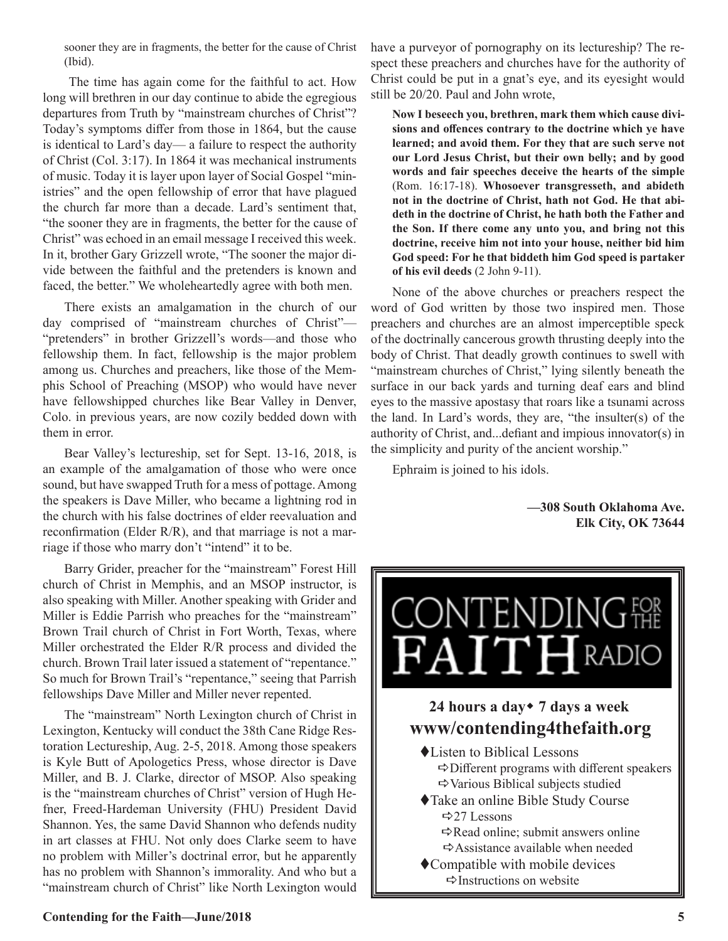sooner they are in fragments, the better for the cause of Christ (Ibid).

The time has again come for the faithful to act. How long will brethren in our day continue to abide the egregious departures from Truth by "mainstream churches of Christ"? Today's symptoms differ from those in 1864, but the cause is identical to Lard's day— a failure to respect the authority of Christ (Col. 3:17). In 1864 it was mechanical instruments of music. Today it is layer upon layer of Social Gospel "ministries" and the open fellowship of error that have plagued the church far more than a decade. Lard's sentiment that, "the sooner they are in fragments, the better for the cause of Christ" was echoed in an email message I received this week. In it, brother Gary Grizzell wrote, "The sooner the major divide between the faithful and the pretenders is known and faced, the better." We wholeheartedly agree with both men.

There exists an amalgamation in the church of our day comprised of "mainstream churches of Christ"— "pretenders" in brother Grizzell's words—and those who fellowship them. In fact, fellowship is the major problem among us. Churches and preachers, like those of the Memphis School of Preaching (MSOP) who would have never have fellowshipped churches like Bear Valley in Denver, Colo. in previous years, are now cozily bedded down with them in error.

Bear Valley's lectureship, set for Sept. 13-16, 2018, is an example of the amalgamation of those who were once sound, but have swapped Truth for a mess of pottage. Among the speakers is Dave Miller, who became a lightning rod in the church with his false doctrines of elder reevaluation and reconfirmation (Elder R/R), and that marriage is not a marriage if those who marry don't "intend" it to be.

Barry Grider, preacher for the "mainstream" Forest Hill church of Christ in Memphis, and an MSOP instructor, is also speaking with Miller. Another speaking with Grider and Miller is Eddie Parrish who preaches for the "mainstream" Brown Trail church of Christ in Fort Worth, Texas, where Miller orchestrated the Elder R/R process and divided the church. Brown Trail later issued a statement of "repentance." So much for Brown Trail's "repentance," seeing that Parrish fellowships Dave Miller and Miller never repented.

The "mainstream" North Lexington church of Christ in Lexington, Kentucky will conduct the 38th Cane Ridge Restoration Lectureship, Aug. 2-5, 2018. Among those speakers is Kyle Butt of Apologetics Press, whose director is Dave Miller, and B. J. Clarke, director of MSOP. Also speaking is the "mainstream churches of Christ" version of Hugh Hefner, Freed-Hardeman University (FHU) President David Shannon. Yes, the same David Shannon who defends nudity in art classes at FHU. Not only does Clarke seem to have no problem with Miller's doctrinal error, but he apparently has no problem with Shannon's immorality. And who but a "mainstream church of Christ" like North Lexington would

have a purveyor of pornography on its lectureship? The respect these preachers and churches have for the authority of Christ could be put in a gnat's eye, and its eyesight would still be 20/20. Paul and John wrote,

**Now I beseech you, brethren, mark them which cause divisions and offences contrary to the doctrine which ye have learned; and avoid them. For they that are such serve not our Lord Jesus Christ, but their own belly; and by good words and fair speeches deceive the hearts of the simple**  (Rom. 16:17-18). **Whosoever transgresseth, and abideth not in the doctrine of Christ, hath not God. He that abideth in the doctrine of Christ, he hath both the Father and the Son. If there come any unto you, and bring not this doctrine, receive him not into your house, neither bid him God speed: For he that biddeth him God speed is partaker of his evil deeds** (2 John 9-11).

None of the above churches or preachers respect the word of God written by those two inspired men. Those preachers and churches are an almost imperceptible speck of the doctrinally cancerous growth thrusting deeply into the body of Christ. That deadly growth continues to swell with "mainstream churches of Christ," lying silently beneath the surface in our back yards and turning deaf ears and blind eyes to the massive apostasy that roars like a tsunami across the land. In Lard's words, they are, "the insulter(s) of the authority of Christ, and...defiant and impious innovator(s) in the simplicity and purity of the ancient worship."

Ephraim is joined to his idols.

**—308 South Oklahoma Ave. Elk City, OK 73644**

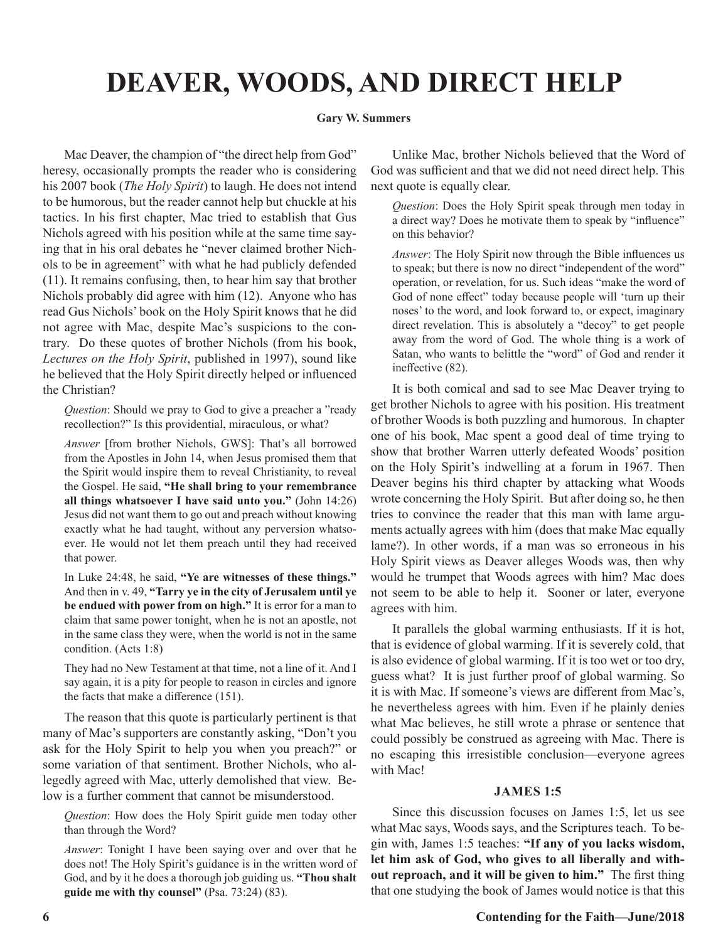## **DEAVER, WOODS, AND DIRECT HELP**

### **Gary W. Summers**

Mac Deaver, the champion of "the direct help from God" heresy, occasionally prompts the reader who is considering his 2007 book (*The Holy Spirit*) to laugh. He does not intend to be humorous, but the reader cannot help but chuckle at his tactics. In his first chapter, Mac tried to establish that Gus Nichols agreed with his position while at the same time saying that in his oral debates he "never claimed brother Nichols to be in agreement" with what he had publicly defended (11). It remains confusing, then, to hear him say that brother Nichols probably did agree with him (12). Anyone who has read Gus Nichols' book on the Holy Spirit knows that he did not agree with Mac, despite Mac's suspicions to the contrary. Do these quotes of brother Nichols (from his book, *Lectures on the Holy Spirit*, published in 1997), sound like he believed that the Holy Spirit directly helped or influenced the Christian?

*Question*: Should we pray to God to give a preacher a "ready recollection?" Is this providential, miraculous, or what?

*Answer* [from brother Nichols, GWS]: That's all borrowed from the Apostles in John 14, when Jesus promised them that the Spirit would inspire them to reveal Christianity, to reveal the Gospel. He said, **"He shall bring to your remembrance all things whatsoever I have said unto you."** (John 14:26) Jesus did not want them to go out and preach without knowing exactly what he had taught, without any perversion whatsoever. He would not let them preach until they had received that power.

In Luke 24:48, he said, **"Ye are witnesses of these things."**  And then in v. 49, **"Tarry ye in the city of Jerusalem until ye be endued with power from on high."** It is error for a man to claim that same power tonight, when he is not an apostle, not in the same class they were, when the world is not in the same condition. (Acts 1:8)

They had no New Testament at that time, not a line of it. And I say again, it is a pity for people to reason in circles and ignore the facts that make a difference (151).

The reason that this quote is particularly pertinent is that many of Mac's supporters are constantly asking, "Don't you ask for the Holy Spirit to help you when you preach?" or some variation of that sentiment. Brother Nichols, who allegedly agreed with Mac, utterly demolished that view. Below is a further comment that cannot be misunderstood.

*Question*: How does the Holy Spirit guide men today other than through the Word?

*Answer*: Tonight I have been saying over and over that he does not! The Holy Spirit's guidance is in the written word of God, and by it he does a thorough job guiding us. **"Thou shalt guide me with thy counsel"** (Psa. 73:24) (83).

Unlike Mac, brother Nichols believed that the Word of God was sufficient and that we did not need direct help. This next quote is equally clear.

*Question*: Does the Holy Spirit speak through men today in a direct way? Does he motivate them to speak by "influence" on this behavior?

*Answer*: The Holy Spirit now through the Bible influences us to speak; but there is now no direct "independent of the word" operation, or revelation, for us. Such ideas "make the word of God of none effect" today because people will 'turn up their noses' to the word, and look forward to, or expect, imaginary direct revelation. This is absolutely a "decoy" to get people away from the word of God. The whole thing is a work of Satan, who wants to belittle the "word" of God and render it ineffective (82).

It is both comical and sad to see Mac Deaver trying to get brother Nichols to agree with his position. His treatment of brother Woods is both puzzling and humorous. In chapter one of his book, Mac spent a good deal of time trying to show that brother Warren utterly defeated Woods' position on the Holy Spirit's indwelling at a forum in 1967. Then Deaver begins his third chapter by attacking what Woods wrote concerning the Holy Spirit. But after doing so, he then tries to convince the reader that this man with lame arguments actually agrees with him (does that make Mac equally lame?). In other words, if a man was so erroneous in his Holy Spirit views as Deaver alleges Woods was, then why would he trumpet that Woods agrees with him? Mac does not seem to be able to help it. Sooner or later, everyone agrees with him.

It parallels the global warming enthusiasts. If it is hot, that is evidence of global warming. If it is severely cold, that is also evidence of global warming. If it is too wet or too dry, guess what? It is just further proof of global warming. So it is with Mac. If someone's views are different from Mac's, he nevertheless agrees with him. Even if he plainly denies what Mac believes, he still wrote a phrase or sentence that could possibly be construed as agreeing with Mac. There is no escaping this irresistible conclusion—everyone agrees with Mac!

### **JAMES 1:5**

Since this discussion focuses on James 1:5, let us see what Mac says, Woods says, and the Scriptures teach. To begin with, James 1:5 teaches: **"If any of you lacks wisdom, let him ask of God, who gives to all liberally and without reproach, and it will be given to him."** The first thing that one studying the book of James would notice is that this

### **6 Contending for the Faith—June/2018**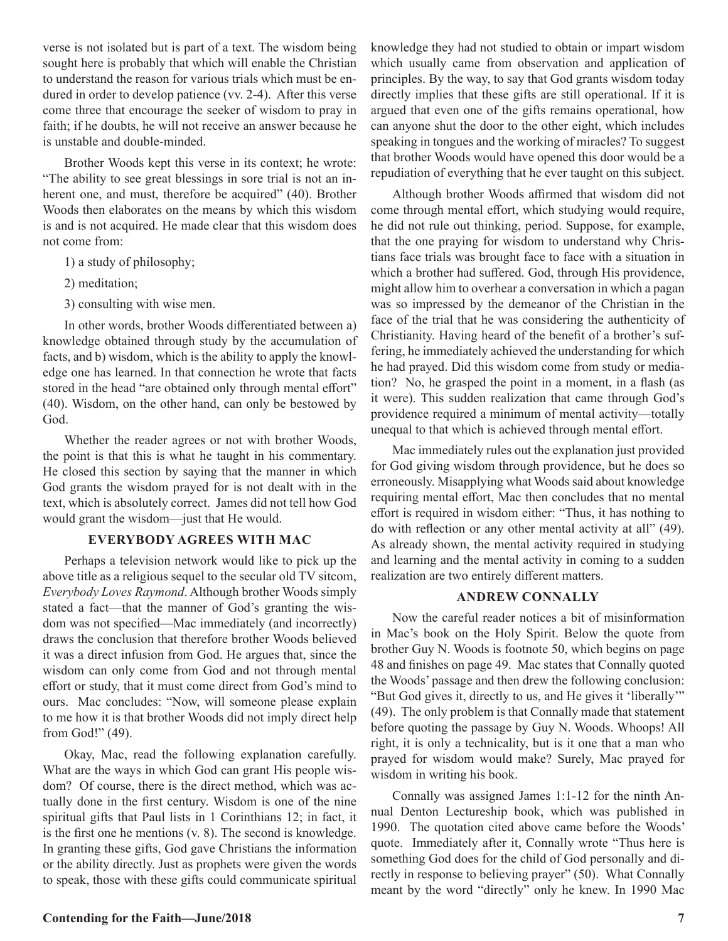verse is not isolated but is part of a text. The wisdom being sought here is probably that which will enable the Christian to understand the reason for various trials which must be endured in order to develop patience (vv. 2-4). After this verse come three that encourage the seeker of wisdom to pray in faith; if he doubts, he will not receive an answer because he is unstable and double-minded.

Brother Woods kept this verse in its context; he wrote: "The ability to see great blessings in sore trial is not an inherent one, and must, therefore be acquired" (40). Brother Woods then elaborates on the means by which this wisdom is and is not acquired. He made clear that this wisdom does not come from:

- 1) a study of philosophy;
- 2) meditation;
- 3) consulting with wise men.

In other words, brother Woods differentiated between a) knowledge obtained through study by the accumulation of facts, and b) wisdom, which is the ability to apply the knowledge one has learned. In that connection he wrote that facts stored in the head "are obtained only through mental effort" (40). Wisdom, on the other hand, can only be bestowed by God.

Whether the reader agrees or not with brother Woods, the point is that this is what he taught in his commentary. He closed this section by saying that the manner in which God grants the wisdom prayed for is not dealt with in the text, which is absolutely correct. James did not tell how God would grant the wisdom—just that He would.

### **EVERYBODY AGREES WITH MAC**

Perhaps a television network would like to pick up the above title as a religious sequel to the secular old TV sitcom, *Everybody Loves Raymond*. Although brother Woods simply stated a fact—that the manner of God's granting the wisdom was not specified—Mac immediately (and incorrectly) draws the conclusion that therefore brother Woods believed it was a direct infusion from God. He argues that, since the wisdom can only come from God and not through mental effort or study, that it must come direct from God's mind to ours. Mac concludes: "Now, will someone please explain to me how it is that brother Woods did not imply direct help from God!" (49).

Okay, Mac, read the following explanation carefully. What are the ways in which God can grant His people wisdom? Of course, there is the direct method, which was actually done in the first century. Wisdom is one of the nine spiritual gifts that Paul lists in 1 Corinthians 12; in fact, it is the first one he mentions (v. 8). The second is knowledge. In granting these gifts, God gave Christians the information or the ability directly. Just as prophets were given the words to speak, those with these gifts could communicate spiritual knowledge they had not studied to obtain or impart wisdom which usually came from observation and application of principles. By the way, to say that God grants wisdom today directly implies that these gifts are still operational. If it is argued that even one of the gifts remains operational, how can anyone shut the door to the other eight, which includes speaking in tongues and the working of miracles? To suggest that brother Woods would have opened this door would be a repudiation of everything that he ever taught on this subject.

Although brother Woods affirmed that wisdom did not come through mental effort, which studying would require, he did not rule out thinking, period. Suppose, for example, that the one praying for wisdom to understand why Christians face trials was brought face to face with a situation in which a brother had suffered. God, through His providence, might allow him to overhear a conversation in which a pagan was so impressed by the demeanor of the Christian in the face of the trial that he was considering the authenticity of Christianity. Having heard of the benefit of a brother's suffering, he immediately achieved the understanding for which he had prayed. Did this wisdom come from study or mediation? No, he grasped the point in a moment, in a flash (as it were). This sudden realization that came through God's providence required a minimum of mental activity—totally unequal to that which is achieved through mental effort.

Mac immediately rules out the explanation just provided for God giving wisdom through providence, but he does so erroneously. Misapplying what Woods said about knowledge requiring mental effort, Mac then concludes that no mental effort is required in wisdom either: "Thus, it has nothing to do with reflection or any other mental activity at all" (49). As already shown, the mental activity required in studying and learning and the mental activity in coming to a sudden realization are two entirely different matters.

### **ANDREW CONNALLY**

Now the careful reader notices a bit of misinformation in Mac's book on the Holy Spirit. Below the quote from brother Guy N. Woods is footnote 50, which begins on page 48 and finishes on page 49. Mac states that Connally quoted the Woods' passage and then drew the following conclusion: "But God gives it, directly to us, and He gives it 'liberally'" (49). The only problem is that Connally made that statement before quoting the passage by Guy N. Woods. Whoops! All right, it is only a technicality, but is it one that a man who prayed for wisdom would make? Surely, Mac prayed for wisdom in writing his book.

Connally was assigned James 1:1-12 for the ninth Annual Denton Lectureship book, which was published in 1990. The quotation cited above came before the Woods' quote. Immediately after it, Connally wrote "Thus here is something God does for the child of God personally and directly in response to believing prayer" (50). What Connally meant by the word "directly" only he knew. In 1990 Mac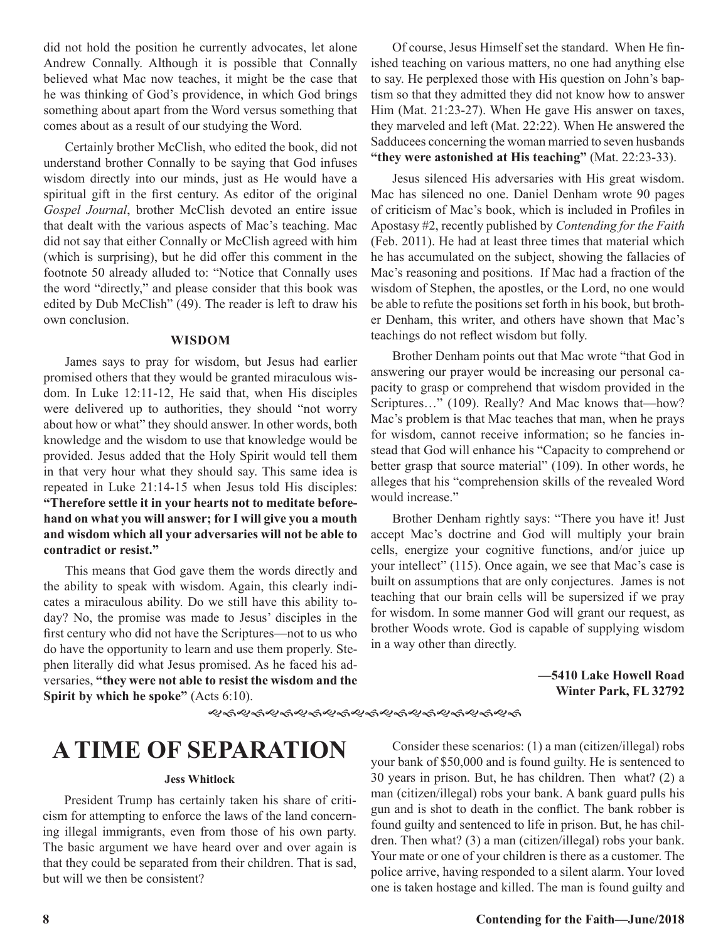did not hold the position he currently advocates, let alone Andrew Connally. Although it is possible that Connally believed what Mac now teaches, it might be the case that he was thinking of God's providence, in which God brings something about apart from the Word versus something that comes about as a result of our studying the Word.

Certainly brother McClish, who edited the book, did not understand brother Connally to be saying that God infuses wisdom directly into our minds, just as He would have a spiritual gift in the first century. As editor of the original *Gospel Journal*, brother McClish devoted an entire issue that dealt with the various aspects of Mac's teaching. Mac did not say that either Connally or McClish agreed with him (which is surprising), but he did offer this comment in the footnote 50 already alluded to: "Notice that Connally uses the word "directly," and please consider that this book was edited by Dub McClish" (49). The reader is left to draw his own conclusion.

### **WISDOM**

James says to pray for wisdom, but Jesus had earlier promised others that they would be granted miraculous wisdom. In Luke 12:11-12, He said that, when His disciples were delivered up to authorities, they should "not worry about how or what" they should answer. In other words, both knowledge and the wisdom to use that knowledge would be provided. Jesus added that the Holy Spirit would tell them in that very hour what they should say. This same idea is repeated in Luke 21:14-15 when Jesus told His disciples: **"Therefore settle it in your hearts not to meditate beforehand on what you will answer; for I will give you a mouth and wisdom which all your adversaries will not be able to contradict or resist."**

This means that God gave them the words directly and the ability to speak with wisdom. Again, this clearly indicates a miraculous ability. Do we still have this ability today? No, the promise was made to Jesus' disciples in the first century who did not have the Scriptures—not to us who do have the opportunity to learn and use them properly. Stephen literally did what Jesus promised. As he faced his adversaries, **"they were not able to resist the wisdom and the Spirit by which he spoke"** (Acts 6:10).

Of course, Jesus Himself set the standard. When He finished teaching on various matters, no one had anything else to say. He perplexed those with His question on John's baptism so that they admitted they did not know how to answer Him (Mat. 21:23-27). When He gave His answer on taxes, they marveled and left (Mat. 22:22). When He answered the Sadducees concerning the woman married to seven husbands **"they were astonished at His teaching"** (Mat. 22:23-33).

Jesus silenced His adversaries with His great wisdom. Mac has silenced no one. Daniel Denham wrote 90 pages of criticism of Mac's book, which is included in Profiles in Apostasy #2, recently published by *Contending for the Faith*  (Feb. 2011). He had at least three times that material which he has accumulated on the subject, showing the fallacies of Mac's reasoning and positions. If Mac had a fraction of the wisdom of Stephen, the apostles, or the Lord, no one would be able to refute the positions set forth in his book, but brother Denham, this writer, and others have shown that Mac's teachings do not reflect wisdom but folly.

Brother Denham points out that Mac wrote "that God in answering our prayer would be increasing our personal capacity to grasp or comprehend that wisdom provided in the Scriptures…" (109). Really? And Mac knows that—how? Mac's problem is that Mac teaches that man, when he prays for wisdom, cannot receive information; so he fancies instead that God will enhance his "Capacity to comprehend or better grasp that source material" (109). In other words, he alleges that his "comprehension skills of the revealed Word would increase."

Brother Denham rightly says: "There you have it! Just accept Mac's doctrine and God will multiply your brain cells, energize your cognitive functions, and/or juice up your intellect" (115). Once again, we see that Mac's case is built on assumptions that are only conjectures. James is not teaching that our brain cells will be supersized if we pray for wisdom. In some manner God will grant our request, as brother Woods wrote. God is capable of supplying wisdom in a way other than directly.

> **—5410 Lake Howell Road Winter Park, FL 32792**

ୡ୶ୡ୶ୡ୶ଌ୶ଌ୶ୡ୶ୡ୶ୡ୶ୡ୶ୡ୶ୡ୶ୡ୶

### **A TIME OF SEPARATION**

### **Jess Whitlock**

President Trump has certainly taken his share of criticism for attempting to enforce the laws of the land concerning illegal immigrants, even from those of his own party. The basic argument we have heard over and over again is that they could be separated from their children. That is sad, but will we then be consistent?

Consider these scenarios: (1) a man (citizen/illegal) robs your bank of \$50,000 and is found guilty. He is sentenced to 30 years in prison. But, he has children. Then what? (2) a man (citizen/illegal) robs your bank. A bank guard pulls his gun and is shot to death in the conflict. The bank robber is found guilty and sentenced to life in prison. But, he has children. Then what? (3) a man (citizen/illegal) robs your bank. Your mate or one of your children is there as a customer. The police arrive, having responded to a silent alarm. Your loved one is taken hostage and killed. The man is found guilty and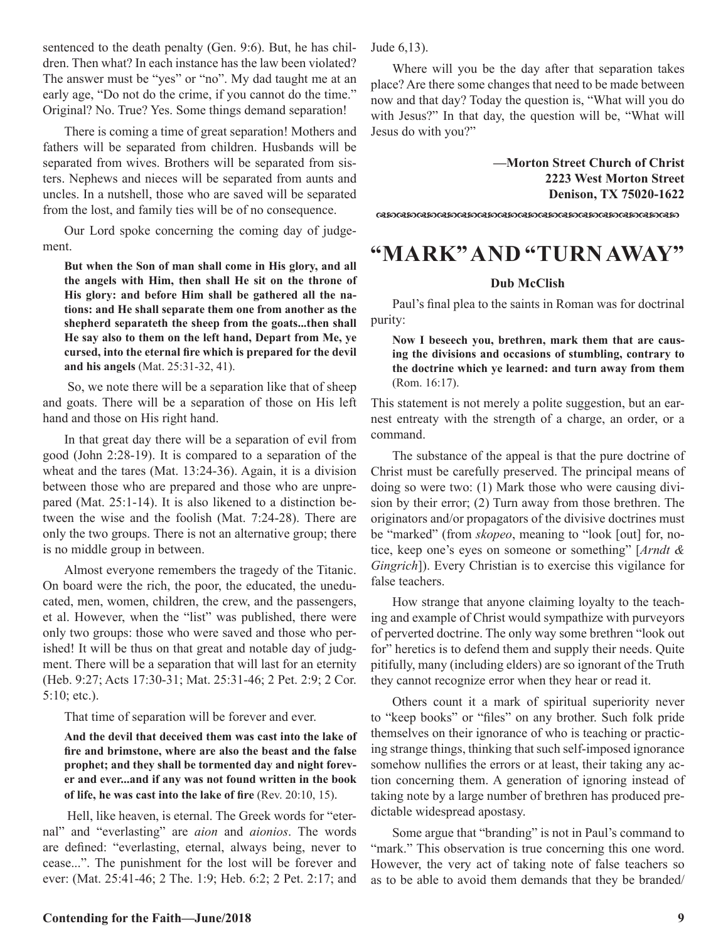sentenced to the death penalty (Gen. 9:6). But, he has children. Then what? In each instance has the law been violated? The answer must be "yes" or "no". My dad taught me at an early age, "Do not do the crime, if you cannot do the time." Original? No. True? Yes. Some things demand separation!

There is coming a time of great separation! Mothers and fathers will be separated from children. Husbands will be separated from wives. Brothers will be separated from sisters. Nephews and nieces will be separated from aunts and uncles. In a nutshell, those who are saved will be separated from the lost, and family ties will be of no consequence.

Our Lord spoke concerning the coming day of judgement.

**But when the Son of man shall come in His glory, and all the angels with Him, then shall He sit on the throne of His glory: and before Him shall be gathered all the nations: and He shall separate them one from another as the shepherd separateth the sheep from the goats...then shall He say also to them on the left hand, Depart from Me, ye cursed, into the eternal fire which is prepared for the devil and his angels** (Mat. 25:31-32, 41).

 So, we note there will be a separation like that of sheep and goats. There will be a separation of those on His left hand and those on His right hand.

In that great day there will be a separation of evil from good (John 2:28-19). It is compared to a separation of the wheat and the tares (Mat. 13:24-36). Again, it is a division between those who are prepared and those who are unprepared (Mat. 25:1-14). It is also likened to a distinction between the wise and the foolish (Mat. 7:24-28). There are only the two groups. There is not an alternative group; there is no middle group in between.

Almost everyone remembers the tragedy of the Titanic. On board were the rich, the poor, the educated, the uneducated, men, women, children, the crew, and the passengers, et al. However, when the "list" was published, there were only two groups: those who were saved and those who perished! It will be thus on that great and notable day of judgment. There will be a separation that will last for an eternity (Heb. 9:27; Acts 17:30-31; Mat. 25:31-46; 2 Pet. 2:9; 2 Cor. 5:10; etc.).

That time of separation will be forever and ever.

**And the devil that deceived them was cast into the lake of fire and brimstone, where are also the beast and the false prophet; and they shall be tormented day and night forever and ever...and if any was not found written in the book of life, he was cast into the lake of fire** (Rev. 20:10, 15).

 Hell, like heaven, is eternal. The Greek words for "eternal" and "everlasting" are *aion* and *aionios*. The words are defined: "everlasting, eternal, always being, never to cease...". The punishment for the lost will be forever and ever: (Mat. 25:41-46; 2 The. 1:9; Heb. 6:2; 2 Pet. 2:17; and Jude 6,13).

Where will you be the day after that separation takes place? Are there some changes that need to be made between now and that day? Today the question is, "What will you do with Jesus?" In that day, the question will be, "What will Jesus do with you?"

> **—Morton Street Church of Christ 2223 West Morton Street Denison, TX 75020-1622**

dcdcdcdcdcdcdcdcdcdcdcdcdcdcdc

### **"MARK" AND "TURN AWAY"**

### **Dub McClish**

Paul's final plea to the saints in Roman was for doctrinal purity:

**Now I beseech you, brethren, mark them that are causing the divisions and occasions of stumbling, contrary to the doctrine which ye learned: and turn away from them** (Rom. 16:17).

This statement is not merely a polite suggestion, but an earnest entreaty with the strength of a charge, an order, or a command.

The substance of the appeal is that the pure doctrine of Christ must be carefully preserved. The principal means of doing so were two: (1) Mark those who were causing division by their error; (2) Turn away from those brethren. The originators and/or propagators of the divisive doctrines must be "marked" (from *skopeo*, meaning to "look [out] for, notice, keep one's eyes on someone or something" [*Arndt & Gingrich*]). Every Christian is to exercise this vigilance for false teachers.

How strange that anyone claiming loyalty to the teaching and example of Christ would sympathize with purveyors of perverted doctrine. The only way some brethren "look out for" heretics is to defend them and supply their needs. Quite pitifully, many (including elders) are so ignorant of the Truth they cannot recognize error when they hear or read it.

Others count it a mark of spiritual superiority never to "keep books" or "files" on any brother. Such folk pride themselves on their ignorance of who is teaching or practicing strange things, thinking that such self-imposed ignorance somehow nullifies the errors or at least, their taking any action concerning them. A generation of ignoring instead of taking note by a large number of brethren has produced predictable widespread apostasy.

Some argue that "branding" is not in Paul's command to "mark." This observation is true concerning this one word. However, the very act of taking note of false teachers so as to be able to avoid them demands that they be branded/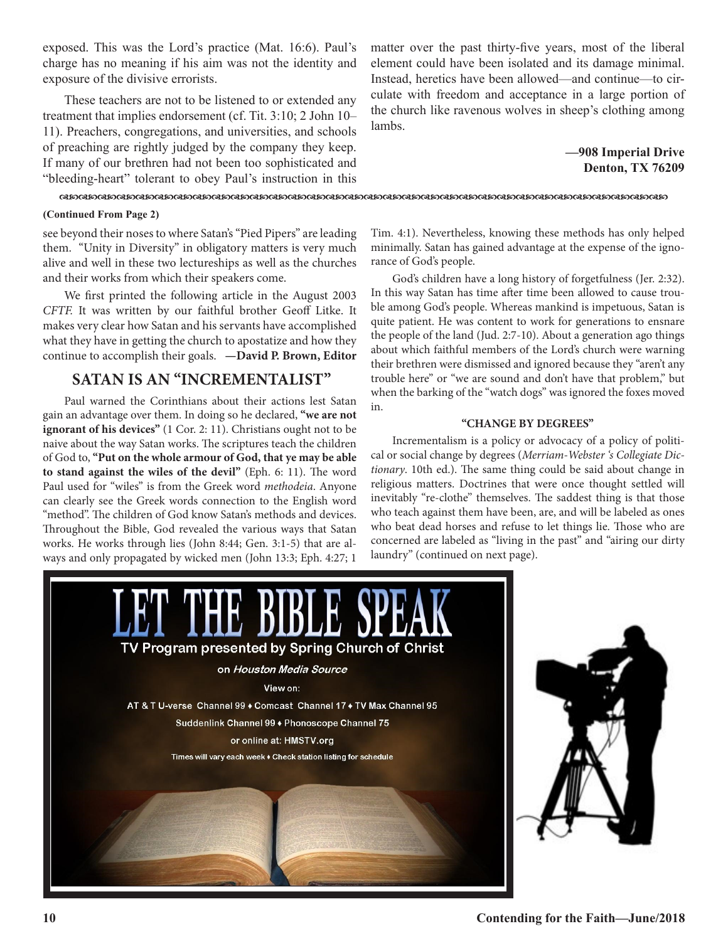exposed. This was the Lord's practice (Mat. 16:6). Paul's charge has no meaning if his aim was not the identity and exposure of the divisive errorists.

These teachers are not to be listened to or extended any treatment that implies endorsement (cf. Tit. 3:10; 2 John 10– 11). Preachers, congregations, and universities, and schools of preaching are rightly judged by the company they keep. If many of our brethren had not been too sophisticated and "bleeding-heart" tolerant to obey Paul's instruction in this matter over the past thirty-five years, most of the liberal element could have been isolated and its damage minimal. Instead, heretics have been allowed—and continue—to circulate with freedom and acceptance in a large portion of the church like ravenous wolves in sheep's clothing among lambs.

### **—908 Imperial Drive Denton, TX 76209**

### dcdcdcdcdcdcdcdcdcdcdcdcdcdcdcdcdcdcdcdcdcdcdcdcdcdcdcdcdcdcdcdc

### **(Continued From Page 2)**

see beyond their noses to where Satan's "Pied Pipers" are leading them. "Unity in Diversity" in obligatory matters is very much alive and well in these two lectureships as well as the churches and their works from which their speakers come.

We first printed the following article in the August 2003 *CFTF.* It was written by our faithful brother Geoff Litke. It makes very clear how Satan and his servants have accomplished what they have in getting the church to apostatize and how they continue to accomplish their goals. **—David P. Brown, Editor**

### **SATAN IS AN "INCREMENTALIST"**

Paul warned the Corinthians about their actions lest Satan gain an advantage over them. In doing so he declared, **"we are not ignorant of his devices"** (1 Cor. 2: 11). Christians ought not to be naive about the way Satan works. The scriptures teach the children of God to, **"Put on the whole armour of God, that ye may be able to stand against the wiles of the devil"** (Eph. 6: 11). The word Paul used for "wiles" is from the Greek word *methodeia*. Anyone can clearly see the Greek words connection to the English word "method". The children of God know Satan's methods and devices. Throughout the Bible, God revealed the various ways that Satan works. He works through lies (John 8:44; Gen. 3:1-5) that are always and only propagated by wicked men (John 13:3; Eph. 4:27; 1

Tim. 4:1). Nevertheless, knowing these methods has only helped minimally. Satan has gained advantage at the expense of the ignorance of God's people.

God's children have a long history of forgetfulness (Jer. 2:32). In this way Satan has time after time been allowed to cause trouble among God's people. Whereas mankind is impetuous, Satan is quite patient. He was content to work for generations to ensnare the people of the land (Jud. 2:7-10). About a generation ago things about which faithful members of the Lord's church were warning their brethren were dismissed and ignored because they "aren't any trouble here" or "we are sound and don't have that problem," but when the barking of the "watch dogs" was ignored the foxes moved in.

### **"CHANGE BY DEGREES"**

Incrementalism is a policy or advocacy of a policy of political or social change by degrees (*Merriam-Webster 's Collegiate Dictionary*. 10th ed.). The same thing could be said about change in religious matters. Doctrines that were once thought settled will inevitably "re-clothe'' themselves. The saddest thing is that those who teach against them have been, are, and will be labeled as ones who beat dead horses and refuse to let things lie. Those who are concerned are labeled as "living in the past" and "airing our dirty laundry" (continued on next page).

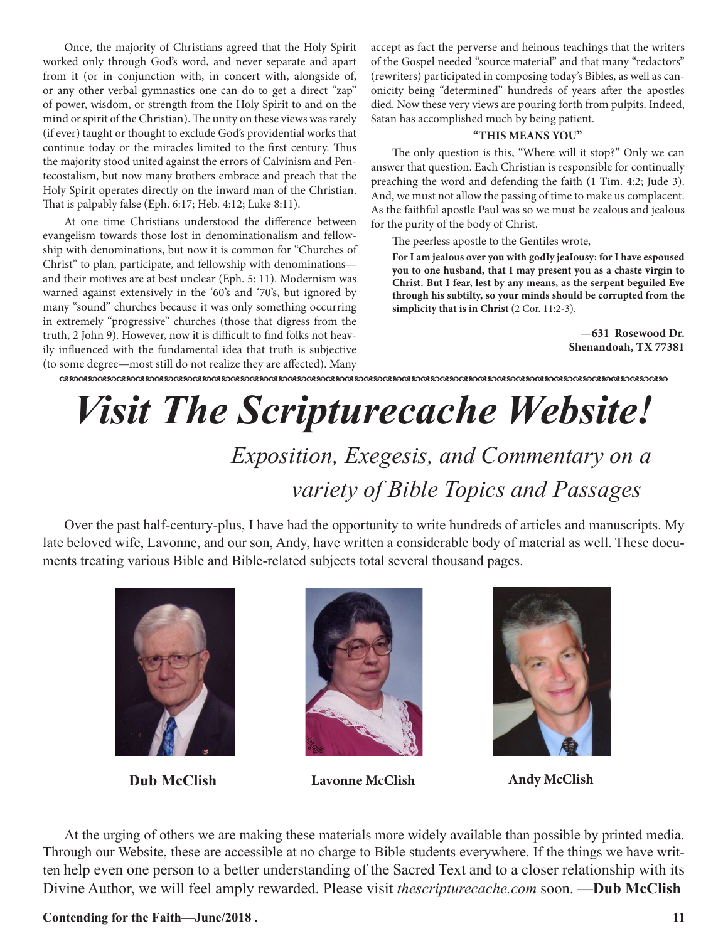Once, the majority of Christians agreed that the Holy Spirit worked only through God's word, and never separate and apart from it (or in conjunction with, in concert with, alongside of, or any other verbal gymnastics one can do to get a direct "zap" of power, wisdom, or strength from the Holy Spirit to and on the mind or spirit of the Christian). The unity on these views was rarely (if ever) taught or thought to exclude God's providential works that continue today or the miracles limited to the first century. Thus the majority stood united against the errors of Calvinism and Pentecostalism, but now many brothers embrace and preach that the Holy Spirit operates directly on the inward man of the Christian. That is palpably false (Eph. 6:17; Heb. 4:12; Luke 8:11).

At one time Christians understood the difference between evangelism towards those lost in denominationalism and fellowship with denominations, but now it is common for "Churches of Christ" to plan, participate, and fellowship with denominations and their motives are at best unclear (Eph. 5: 11). Modernism was warned against extensively in the '60's and '70's, but ignored by many "sound" churches because it was only something occurring in extremely "progressive" churches (those that digress from the truth, 2 John 9). However, now it is difficult to find folks not heavily influenced with the fundamental idea that truth is subjective (to some degree—most still do not realize they are affected). Many

accept as fact the perverse and heinous teachings that the writers of the Gospel needed "source material" and that many "redactors" (rewriters) participated in composing today's Bibles, as well as canonicity being "determined" hundreds of years after the apostles died. Now these very views are pouring forth from pulpits. Indeed, Satan has accomplished much by being patient.

### **"THIS MEANS YOU"**

The only question is this, "Where will it stop?" Only we can answer that question. Each Christian is responsible for continually preaching the word and defending the faith (1 Tim. 4:2; Jude 3). And, we must not allow the passing of time to make us complacent. As the faithful apostle Paul was so we must be zealous and jealous for the purity of the body of Christ.

The peerless apostle to the Gentiles wrote,

**For I am jealous over you with godIy jeaIousy: for I have espoused you to one husband, that I may present you as a chaste virgin to Christ. But I fear, lest by any means, as the serpent beguiled Eve through his subtilty, so your minds should be corrupted from the simplicity that is in Christ** (2 Cor. 11:2-3).

> **—631 Rosewood Dr. Shenandoah, TX 77381**

dcdcdcdcdcdcdcdcdcdcdcdcdcdcdcdcdcdcdcdcdcdcdcdcdcdcdcdcdcdcdcdc

# *Visit The Scripturecache Website!*

 *Exposition, Exegesis, and Commentary on a variety of Bible Topics and Passages*

Over the past half-century-plus, I have had the opportunity to write hundreds of articles and manuscripts. My late beloved wife, Lavonne, and our son, Andy, have written a considerable body of material as well. These documents treating various Bible and Bible-related subjects total several thousand pages.





**Dub McClish Lavonne McClish Andy McClish**



At the urging of others we are making these materials more widely available than possible by printed media. Through our Website, these are accessible at no charge to Bible students everywhere. If the things we have written help even one person to a better understanding of the Sacred Text and to a closer relationship with its Divine Author, we will feel amply rewarded. Please visit *thescripturecache.com* soon. **—Dub McClish**

**Contending for the Faith—June/2018 .** 11